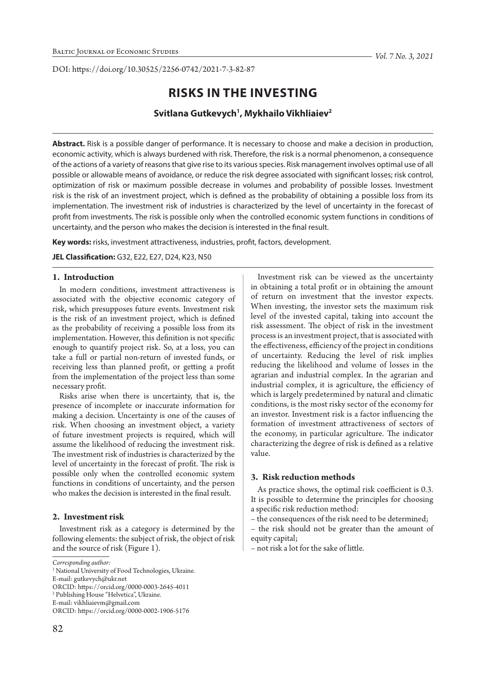DOI: https://doi.org/10.30525/2256-0742/2021-7-3-82-87

# **RISKS IN THE INVESTING**

# **Svitlana Gutkevych1 , Mykhailo Vikhliaiev2**

**Abstract.** Risk is a possible danger of performance. It is necessary to choose and make a decision in production, economic activity, which is always burdened with risk. Therefore, the risk is a normal phenomenon, a consequence of the actions of a variety of reasons that give rise to its various species. Risk management involves optimal use of all possible or allowable means of avoidance, or reduce the risk degree associated with significant losses; risk control, optimization of risk or maximum possible decrease in volumes and probability of possible losses. Investment risk is the risk of an investment project, which is defined as the probability of obtaining a possible loss from its implementation. The investment risk of industries is characterized by the level of uncertainty in the forecast of profit from investments. The risk is possible only when the controlled economic system functions in conditions of uncertainty, and the person who makes the decision is interested in the final result.

**Key words:** risks, investment attractiveness, industries, profit, factors, development.

**JEL Classification:** G32, E22, E27, D24, K23, N50

### **1. Introduction**

In modern conditions, investment attractiveness is associated with the objective economic category of risk, which presupposes future events. Investment risk is the risk of an investment project, which is defined as the probability of receiving a possible loss from its implementation. However, this definition is not specific enough to quantify project risk. So, at a loss, you can take a full or partial non-return of invested funds, or receiving less than planned profit, or getting a profit from the implementation of the project less than some necessary profit.

Risks arise when there is uncertainty, that is, the presence of incomplete or inaccurate information for making a decision. Uncertainty is one of the causes of risk. When choosing an investment object, a variety of future investment projects is required, which will assume the likelihood of reducing the investment risk. The investment risk of industries is characterized by the level of uncertainty in the forecast of profit. The risk is possible only when the controlled economic system functions in conditions of uncertainty, and the person who makes the decision is interested in the final result.

## **2. Investment risk**

Investment risk as a category is determined by the following elements: the subject of risk, the object of risk and the source of risk (Figure 1).

E-mail: gutkevych@ukr.net

2 Publishing House "Helvetiсa", Ukraine.

E-mail: vikhliaievm@gmail.com

Investment risk can be viewed as the uncertainty in obtaining a total profit or in obtaining the amount of return on investment that the investor expects. When investing, the investor sets the maximum risk level of the invested capital, taking into account the risk assessment. The object of risk in the investment process is an investment project, that is associated with the effectiveness, efficiency of the project in conditions of uncertainty. Reducing the level of risk implies reducing the likelihood and volume of losses in the agrarian and industrial complex. In the agrarian and industrial complex, it is agriculture, the efficiency of which is largely predetermined by natural and climatic conditions, is the most risky sector of the economy for an investor. Investment risk is a factor influencing the formation of investment attractiveness of sectors of the economy, in particular agriculture. The indicator characterizing the degree of risk is defined as a relative value.

#### **3. Risk reduction methods**

As practice shows, the optimal risk coefficient is 0.3. It is possible to determine the principles for choosing a specific risk reduction method:

– the consequences of the risk need to be determined;

– the risk should not be greater than the amount of equity capital;

– not risk a lot for the sake of little.

*Corresponding author:*

<sup>&</sup>lt;sup>1</sup> National University of Food Technologies, Ukraine.

ORCID: https://orcid.org/0000-0003-2645-4011

ORCID: https://orcid.org/0000-0002-1906-5176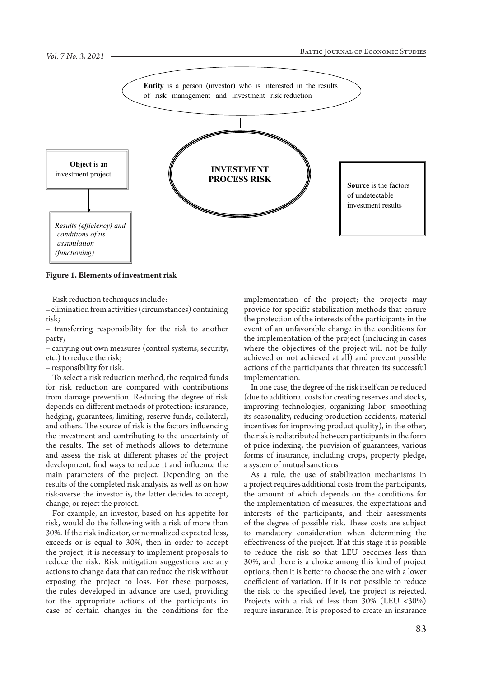

**Figure 1. Elements of investment risk**

Risk reduction techniques include:

– elimination from activities (circumstances) containing risk;

– transferring responsibility for the risk to another party;

– carrying out own measures (control systems, security, etc.) to reduce the risk;

– responsibility for risk.

To select a risk reduction method, the required funds for risk reduction are compared with contributions from damage prevention. Reducing the degree of risk depends on different methods of protection: insurance, hedging, guarantees, limiting, reserve funds, collateral, and others. The source of risk is the factors influencing the investment and contributing to the uncertainty of the results. The set of methods allows to determine and assess the risk at different phases of the project development, find ways to reduce it and influence the main parameters of the project. Depending on the results of the completed risk analysis, as well as on how risk-averse the investor is, the latter decides to accept, change, or reject the project.

For example, an investor, based on his appetite for risk, would do the following with a risk of more than 30%. If the risk indicator, or normalized expected loss, exceeds or is equal to 30%, then in order to accept the project, it is necessary to implement proposals to reduce the risk. Risk mitigation suggestions are any actions to change data that can reduce the risk without exposing the project to loss. For these purposes, the rules developed in advance are used, providing for the appropriate actions of the participants in case of certain changes in the conditions for the

implementation of the project; the projects may provide for specific stabilization methods that ensure the protection of the interests of the participants in the event of an unfavorable change in the conditions for the implementation of the project (including in cases where the objectives of the project will not be fully achieved or not achieved at all) and prevent possible actions of the participants that threaten its successful implementation.

In one case, the degree of the risk itself can be reduced (due to additional costs for creating reserves and stocks, improving technologies, organizing labor, smoothing its seasonality, reducing production accidents, material incentives for improving product quality), in the other, the risk is redistributed between participants in the form of price indexing, the provision of guarantees, various forms of insurance, including crops, property pledge, a system of mutual sanctions.

As a rule, the use of stabilization mechanisms in a project requires additional costs from the participants, the amount of which depends on the conditions for the implementation of measures, the expectations and interests of the participants, and their assessments of the degree of possible risk. These costs are subject to mandatory consideration when determining the effectiveness of the project. If at this stage it is possible to reduce the risk so that LEU becomes less than 30%, and there is a choice among this kind of project options, then it is better to choose the one with a lower coefficient of variation. If it is not possible to reduce the risk to the specified level, the project is rejected. Projects with a risk of less than 30% (LEU <30%) require insurance. It is proposed to create an insurance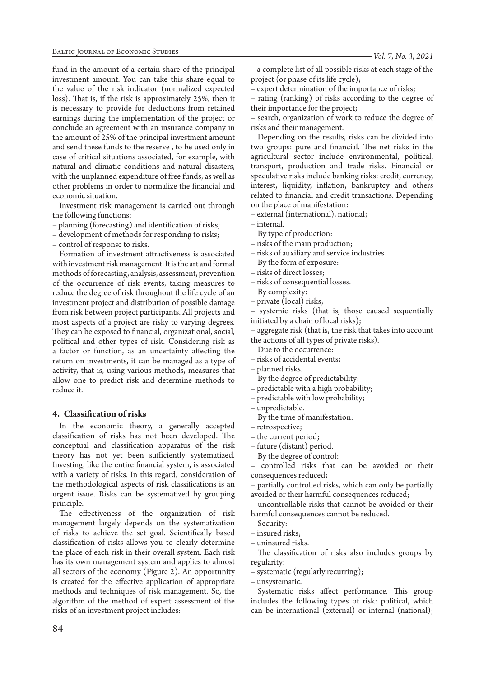fund in the amount of a certain share of the principal investment amount. You can take this share equal to the value of the risk indicator (normalized expected loss). That is, if the risk is approximately 25%, then it is necessary to provide for deductions from retained earnings during the implementation of the project or conclude an agreement with an insurance company in the amount of 25% of the principal investment amount and send these funds to the reserve , to be used only in case of critical situations associated, for example, with natural and climatic conditions and natural disasters, with the unplanned expenditure of free funds, as well as other problems in order to normalize the financial and economic situation.

Investment risk management is carried out through the following functions:

– planning (forecasting) and identification of risks;

– development of methods for responding to risks;

– control of response to risks.

Formation of investment attractiveness is associated with investment risk management. It is the art and formal methods of forecasting, analysis, assessment, prevention of the occurrence of risk events, taking measures to reduce the degree of risk throughout the life cycle of an investment project and distribution of possible damage from risk between project participants. All projects and most aspects of a project are risky to varying degrees. They can be exposed to financial, organizational, social, political and other types of risk. Considering risk as a factor or function, as an uncertainty affecting the return on investments, it can be managed as a type of activity, that is, using various methods, measures that allow one to predict risk and determine methods to reduce it.

# **4. Classification of risks**

In the economic theory, a generally accepted classification of risks has not been developed. The conceptual and classification apparatus of the risk theory has not yet been sufficiently systematized. Investing, like the entire financial system, is associated with a variety of risks. In this regard, consideration of the methodological aspects of risk classifications is an urgent issue. Risks can be systematized by grouping principle.

The effectiveness of the organization of risk management largely depends on the systematization of risks to achieve the set goal. Scientifically based classification of risks allows you to clearly determine the place of each risk in their overall system. Each risk has its own management system and applies to almost all sectors of the economy (Figure 2). An opportunity is created for the effective application of appropriate methods and techniques of risk management. So, the algorithm of the method of expert assessment of the risks of an investment project includes:

– expert determination of the importance of risks;

– rating (ranking) of risks according to the degree of their importance for the project;

– search, organization of work to reduce the degree of risks and their management.

Depending on the results, risks can be divided into two groups: pure and financial. The net risks in the agricultural sector include environmental, political, transport, production and trade risks. Financial or speculative risks include banking risks: credit, currency, interest, liquidity, inflation, bankruptcy and others related to financial and credit transactions. Depending on the place of manifestation:

– external (international), national;

– internal.

By type of production:

– risks of the main production;

- risks of auxiliary and service industries. By the form of exposure:
- risks of direct losses;
- risks of consequential losses.
- By complexity:
- private (local) risks;

systemic risks (that is, those caused sequentially initiated by a chain of local risks);

– aggregate risk (that is, the risk that takes into account the actions of all types of private risks).

- Due to the occurrence:
- risks of accidental events;
- planned risks.
- By the degree of predictability:
- predictable with a high probability;
- predictable with low probability;
- unpredictable.
- By the time of manifestation:
- retrospective;
- the current period;
- future (distant) period.
- By the degree of control:

– controlled risks that can be avoided or their consequences reduced;

– partially controlled risks, which can only be partially avoided or their harmful consequences reduced;

– uncontrollable risks that cannot be avoided or their harmful consequences cannot be reduced.

- Security:
- insured risks;
- uninsured risks.

The classification of risks also includes groups by regularity:

– systematic (regularly recurring);

– unsystematic.

Systematic risks affect performance. This group includes the following types of risk: political, which can be international (external) or internal (national);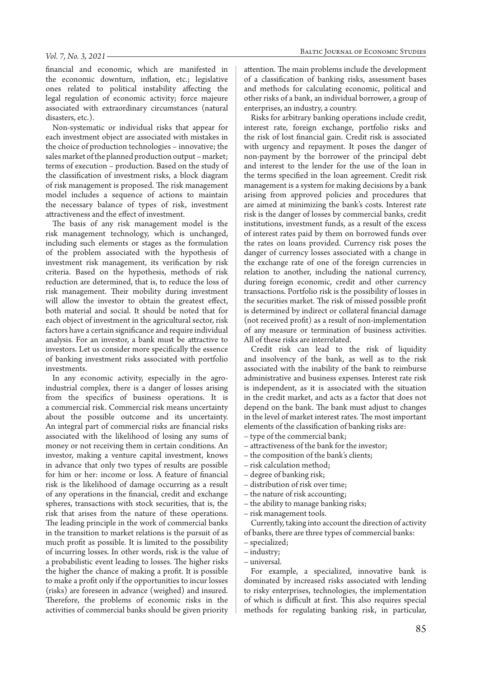#### *Vol. 7, No. 3, 2021*

financial and economic, which are manifested in the economic downturn, inflation, etc.; legislative ones related to political instability affecting the legal regulation of economic activity; force majeure associated with extraordinary circumstances (natural disasters, etc.).

Non-systematic or individual risks that appear for each investment object are associated with mistakes in the choice of production technologies – innovative; the sales market of the planned production output – market; terms of execution – production. Based on the study of the classification of investment risks, a block diagram of risk management is proposed. The risk management model includes a sequence of actions to maintain the necessary balance of types of risk, investment attractiveness and the effect of investment.

The basis of any risk management model is the risk management technology, which is unchanged, including such elements or stages as the formulation of the problem associated with the hypothesis of investment risk management, its verification by risk criteria. Based on the hypothesis, methods of risk reduction are determined, that is, to reduce the loss of risk management. Their mobility during investment will allow the investor to obtain the greatest effect, both material and social. It should be noted that for each object of investment in the agricultural sector, risk factors have a certain significance and require individual analysis. For an investor, a bank must be attractive to investors. Let us consider more specifically the essence of banking investment risks associated with portfolio investments.

In any economic activity, especially in the agroindustrial complex, there is a danger of losses arising from the specifics of business operations. It is a commercial risk. Commercial risk means uncertainty about the possible outcome and its uncertainty. An integral part of commercial risks are financial risks associated with the likelihood of losing any sums of money or not receiving them in certain conditions. An investor, making a venture capital investment, knows in advance that only two types of results are possible for him or her: income or loss. A feature of financial risk is the likelihood of damage occurring as a result of any operations in the financial, credit and exchange spheres, transactions with stock securities, that is, the risk that arises from the nature of these operations. The leading principle in the work of commercial banks in the transition to market relations is the pursuit of as much profit as possible. It is limited to the possibility of incurring losses. In other words, risk is the value of a probabilistic event leading to losses. The higher risks the higher the chance of making a profit. It is possible to make a profit only if the opportunities to incur losses (risks) are foreseen in advance (weighed) and insured. Therefore, the problems of economic risks in the activities of commercial banks should be given priority

attention. The main problems include the development of a classification of banking risks, assessment bases and methods for calculating economic, political and other risks of a bank, an individual borrower, a group of enterprises, an industry, a country.

Risks for arbitrary banking operations include credit, interest rate, foreign exchange, portfolio risks and the risk of lost financial gain. Credit risk is associated with urgency and repayment. It poses the danger of non-payment by the borrower of the principal debt and interest to the lender for the use of the loan in the terms specified in the loan agreement. Credit risk management is a system for making decisions by a bank arising from approved policies and procedures that are aimed at minimizing the bank's costs. Interest rate risk is the danger of losses by commercial banks, credit institutions, investment funds, as a result of the excess of interest rates paid by them on borrowed funds over the rates on loans provided. Currency risk poses the danger of currency losses associated with a change in the exchange rate of one of the foreign currencies in relation to another, including the national currency, during foreign economic, credit and other currency transactions. Portfolio risk is the possibility of losses in the securities market. The risk of missed possible profit is determined by indirect or collateral financial damage (not received profit) as a result of non-implementation of any measure or termination of business activities. All of these risks are interrelated.

Credit risk can lead to the risk of liquidity and insolvency of the bank, as well as to the risk associated with the inability of the bank to reimburse administrative and business expenses. Interest rate risk is independent, as it is associated with the situation in the credit market, and acts as a factor that does not depend on the bank. The bank must adjust to changes in the level of market interest rates. The most important elements of the classification of banking risks are:

- type of the commercial bank;
- attractiveness of the bank for the investor;
- the composition of the bank's clients;
- risk calculation method;
- degree of banking risk;
- distribution of risk over time;
- the nature of risk accounting;
- the ability to manage banking risks;
- risk management tools.

Currently, taking into account the direction of activity of banks, there are three types of commercial banks:

- industry;
- universal.

For example, a specialized, innovative bank is dominated by increased risks associated with lending to risky enterprises, technologies, the implementation of which is difficult at first. This also requires special methods for regulating banking risk, in particular,

<sup>–</sup> specialized;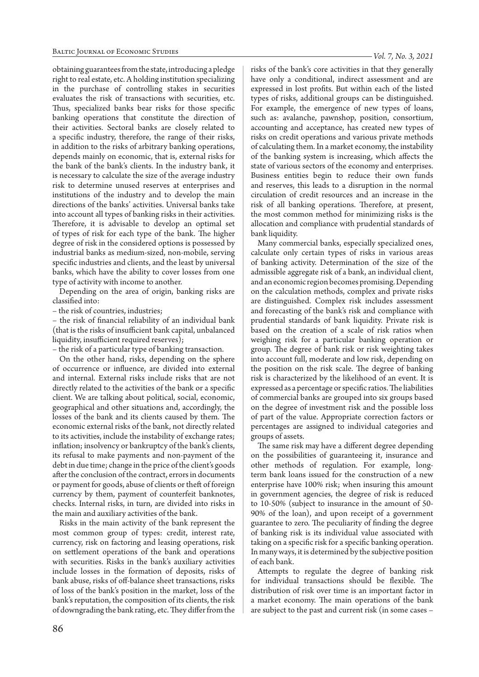obtaining guarantees from the state, introducing a pledge right to real estate, etc. A holding institution specializing in the purchase of controlling stakes in securities evaluates the risk of transactions with securities, etc. Thus, specialized banks bear risks for those specific banking operations that constitute the direction of their activities. Sectoral banks are closely related to a specific industry, therefore, the range of their risks, in addition to the risks of arbitrary banking operations, depends mainly on economic, that is, external risks for the bank of the bank's clients. In the industry bank, it is necessary to calculate the size of the average industry risk to determine unused reserves at enterprises and institutions of the industry and to develop the main directions of the banks' activities. Universal banks take into account all types of banking risks in their activities. Therefore, it is advisable to develop an optimal set of types of risk for each type of the bank. The higher degree of risk in the considered options is possessed by industrial banks as medium-sized, non-mobile, serving specific industries and clients, and the least by universal banks, which have the ability to cover losses from one type of activity with income to another.

Depending on the area of origin, banking risks are classified into:

– the risk of countries, industries;

– the risk of financial reliability of an individual bank (that is the risks of insufficient bank capital, unbalanced liquidity, insufficient required reserves);

– the risk of a particular type of banking transaction.

On the other hand, risks, depending on the sphere of occurrence or influence, are divided into external and internal. External risks include risks that are not directly related to the activities of the bank or a specific client. We are talking about political, social, economic, geographical and other situations and, accordingly, the losses of the bank and its clients caused by them. The economic external risks of the bank, not directly related to its activities, include the instability of exchange rates; inflation; insolvency or bankruptcy of the bank's clients, its refusal to make payments and non-payment of the debt in due time; change in the price of the client's goods after the conclusion of the contract, errors in documents or payment for goods, abuse of clients or theft of foreign currency by them, payment of counterfeit banknotes, checks. Internal risks, in turn, are divided into risks in the main and auxiliary activities of the bank.

Risks in the main activity of the bank represent the most common group of types: credit, interest rate, currency, risk on factoring and leasing operations, risk on settlement operations of the bank and operations with securities. Risks in the bank's auxiliary activities include losses in the formation of deposits, risks of bank abuse, risks of off-balance sheet transactions, risks of loss of the bank's position in the market, loss of the bank's reputation, the composition of its clients, the risk of downgrading the bank rating, etc. They differ from the

risks of the bank's core activities in that they generally have only a conditional, indirect assessment and are expressed in lost profits. But within each of the listed types of risks, additional groups can be distinguished. For example, the emergence of new types of loans, such as: avalanche, pawnshop, position, consortium, accounting and acceptance, has created new types of risks on credit operations and various private methods of calculating them. In a market economy, the instability of the banking system is increasing, which affects the state of various sectors of the economy and enterprises. Business entities begin to reduce their own funds and reserves, this leads to a disruption in the normal circulation of credit resources and an increase in the risk of all banking operations. Therefore, at present, the most common method for minimizing risks is the allocation and compliance with prudential standards of bank liquidity.

Many commercial banks, especially specialized ones, calculate only certain types of risks in various areas of banking activity. Determination of the size of the admissible aggregate risk of a bank, an individual client, and an economic region becomes promising. Depending on the calculation methods, complex and private risks are distinguished. Complex risk includes assessment and forecasting of the bank's risk and compliance with prudential standards of bank liquidity. Private risk is based on the creation of a scale of risk ratios when weighing risk for a particular banking operation or group. The degree of bank risk or risk weighting takes into account full, moderate and low risk, depending on the position on the risk scale. The degree of banking risk is characterized by the likelihood of an event. It is expressed as a percentage or specific ratios. The liabilities of commercial banks are grouped into six groups based on the degree of investment risk and the possible loss of part of the value. Appropriate correction factors or percentages are assigned to individual categories and groups of assets.

The same risk may have a different degree depending on the possibilities of guaranteeing it, insurance and other methods of regulation. For example, longterm bank loans issued for the construction of a new enterprise have 100% risk; when insuring this amount in government agencies, the degree of risk is reduced to 10-50% (subject to insurance in the amount of 50- 90% of the loan), and upon receipt of a government guarantee to zero. The peculiarity of finding the degree of banking risk is its individual value associated with taking on a specific risk for a specific banking operation. In many ways, it is determined by the subjective position of each bank.

Attempts to regulate the degree of banking risk for individual transactions should be flexible. The distribution of risk over time is an important factor in a market economy. The main operations of the bank are subject to the past and current risk (in some cases –